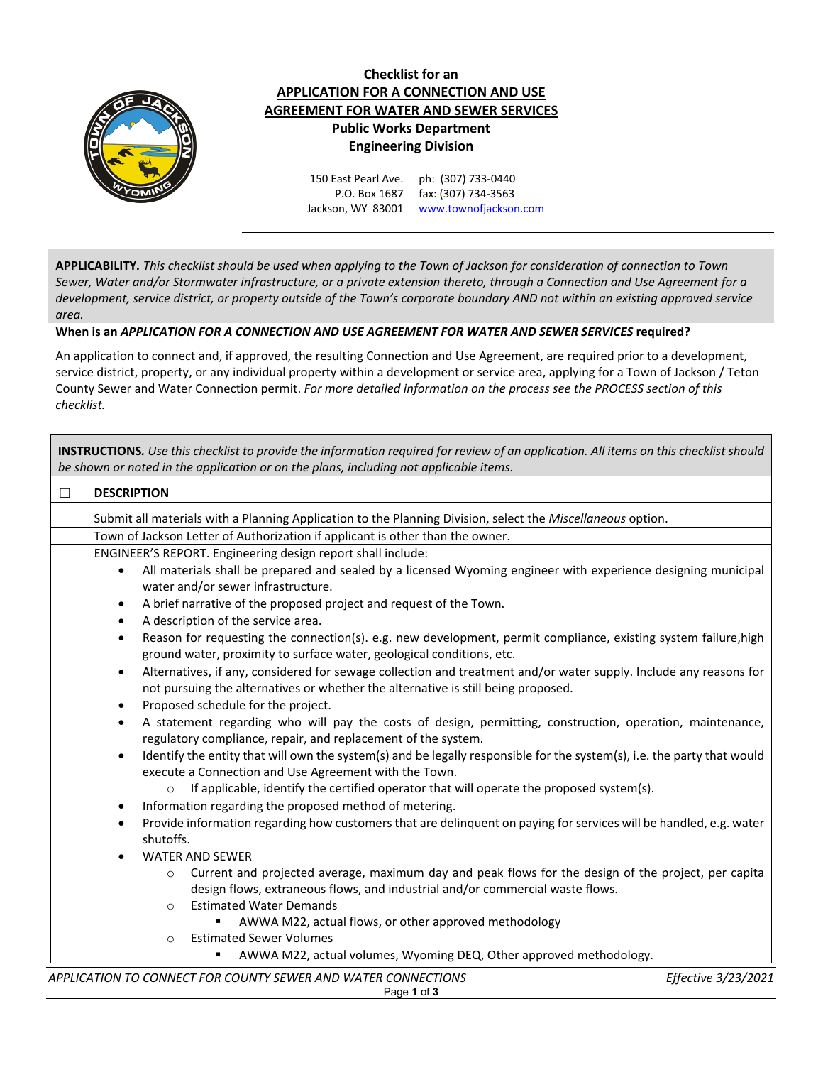

## **Checklist for an APPLICATION FOR A CONNECTION AND USE AGREEMENT FOR WATER AND SEWER SERVICES Public Works Department Engineering Division**

150 East Pearl Ave. P.O. Box 1687 Jackson, WY 83001 [www.townofjackson.com](http://www.townofjackson.com/) ph: (307) 733-0440 fax: (307) 734-3563

**APPLICABILITY***. This checklist should be used when applying to the Town of Jackson for consideration of connection to Town Sewer, Water and/or Stormwater infrastructure, or a private extension thereto, through a Connection and Use Agreement for a development, service district, or property outside of the Town's corporate boundary AND not within an existing approved service area.*

## **When is an** *APPLICATION FOR A CONNECTION AND USE AGREEMENT FOR WATER AND SEWER SERVICES* **required?**

An application to connect and, if approved, the resulting Connection and Use Agreement, are required prior to a development, service district, property, or any individual property within a development or service area, applying for a Town of Jackson / Teton County Sewer and Water Connection permit. *For more detailed information on the process see the PROCESS section of this checklist.*

| <b>INSTRUCTIONS.</b> Use this checklist to provide the information required for review of an application. All items on this checklist should<br>be shown or noted in the application or on the plans, including not applicable items. |                                                                                                                                                                                                             |  |
|---------------------------------------------------------------------------------------------------------------------------------------------------------------------------------------------------------------------------------------|-------------------------------------------------------------------------------------------------------------------------------------------------------------------------------------------------------------|--|
| $\Box$                                                                                                                                                                                                                                | <b>DESCRIPTION</b>                                                                                                                                                                                          |  |
|                                                                                                                                                                                                                                       | Submit all materials with a Planning Application to the Planning Division, select the Miscellaneous option.                                                                                                 |  |
|                                                                                                                                                                                                                                       | Town of Jackson Letter of Authorization if applicant is other than the owner.                                                                                                                               |  |
|                                                                                                                                                                                                                                       | ENGINEER'S REPORT. Engineering design report shall include:                                                                                                                                                 |  |
|                                                                                                                                                                                                                                       | All materials shall be prepared and sealed by a licensed Wyoming engineer with experience designing municipal<br>$\bullet$                                                                                  |  |
|                                                                                                                                                                                                                                       | water and/or sewer infrastructure.                                                                                                                                                                          |  |
|                                                                                                                                                                                                                                       | A brief narrative of the proposed project and request of the Town.<br>$\bullet$                                                                                                                             |  |
|                                                                                                                                                                                                                                       | A description of the service area.<br>$\bullet$                                                                                                                                                             |  |
|                                                                                                                                                                                                                                       | Reason for requesting the connection(s). e.g. new development, permit compliance, existing system failure, high<br>٠<br>ground water, proximity to surface water, geological conditions, etc.               |  |
|                                                                                                                                                                                                                                       | Alternatives, if any, considered for sewage collection and treatment and/or water supply. Include any reasons for<br>٠<br>not pursuing the alternatives or whether the alternative is still being proposed. |  |
|                                                                                                                                                                                                                                       | Proposed schedule for the project.<br>$\bullet$                                                                                                                                                             |  |
|                                                                                                                                                                                                                                       | A statement regarding who will pay the costs of design, permitting, construction, operation, maintenance,<br>$\bullet$<br>regulatory compliance, repair, and replacement of the system.                     |  |
|                                                                                                                                                                                                                                       | Identify the entity that will own the system(s) and be legally responsible for the system(s), i.e. the party that would<br>$\bullet$<br>execute a Connection and Use Agreement with the Town.               |  |
|                                                                                                                                                                                                                                       | If applicable, identify the certified operator that will operate the proposed system(s).<br>$\circ$                                                                                                         |  |
|                                                                                                                                                                                                                                       | Information regarding the proposed method of metering.<br>$\bullet$                                                                                                                                         |  |
|                                                                                                                                                                                                                                       | Provide information regarding how customers that are delinquent on paying for services will be handled, e.g. water<br>٠<br>shutoffs.                                                                        |  |
|                                                                                                                                                                                                                                       | <b>WATER AND SEWER</b><br>$\bullet$                                                                                                                                                                         |  |
|                                                                                                                                                                                                                                       | Current and projected average, maximum day and peak flows for the design of the project, per capita<br>$\circ$                                                                                              |  |
|                                                                                                                                                                                                                                       | design flows, extraneous flows, and industrial and/or commercial waste flows.                                                                                                                               |  |
|                                                                                                                                                                                                                                       | <b>Estimated Water Demands</b><br>$\circ$                                                                                                                                                                   |  |
|                                                                                                                                                                                                                                       | AWWA M22, actual flows, or other approved methodology                                                                                                                                                       |  |
|                                                                                                                                                                                                                                       | <b>Estimated Sewer Volumes</b><br>O                                                                                                                                                                         |  |
|                                                                                                                                                                                                                                       | AWWA M22, actual volumes, Wyoming DEQ, Other approved methodology.                                                                                                                                          |  |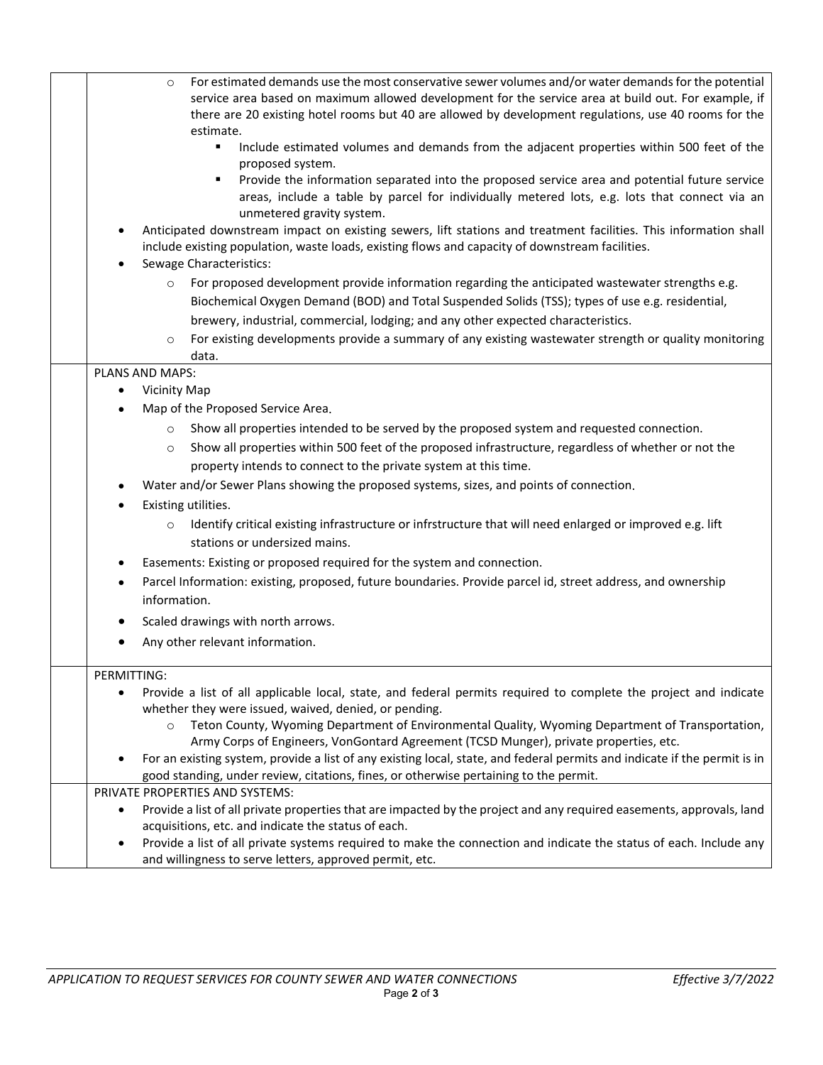| For estimated demands use the most conservative sewer volumes and/or water demands for the potential<br>$\circ$<br>service area based on maximum allowed development for the service area at build out. For example, if<br>there are 20 existing hotel rooms but 40 are allowed by development regulations, use 40 rooms for the<br>estimate.<br>Include estimated volumes and demands from the adjacent properties within 500 feet of the<br>٠<br>proposed system.<br>Provide the information separated into the proposed service area and potential future service<br>٠<br>areas, include a table by parcel for individually metered lots, e.g. lots that connect via an<br>unmetered gravity system.<br>Anticipated downstream impact on existing sewers, lift stations and treatment facilities. This information shall<br>include existing population, waste loads, existing flows and capacity of downstream facilities. |
|--------------------------------------------------------------------------------------------------------------------------------------------------------------------------------------------------------------------------------------------------------------------------------------------------------------------------------------------------------------------------------------------------------------------------------------------------------------------------------------------------------------------------------------------------------------------------------------------------------------------------------------------------------------------------------------------------------------------------------------------------------------------------------------------------------------------------------------------------------------------------------------------------------------------------------|
| Sewage Characteristics:<br>For proposed development provide information regarding the anticipated wastewater strengths e.g.                                                                                                                                                                                                                                                                                                                                                                                                                                                                                                                                                                                                                                                                                                                                                                                                    |
| $\circ$<br>Biochemical Oxygen Demand (BOD) and Total Suspended Solids (TSS); types of use e.g. residential,                                                                                                                                                                                                                                                                                                                                                                                                                                                                                                                                                                                                                                                                                                                                                                                                                    |
| brewery, industrial, commercial, lodging; and any other expected characteristics.                                                                                                                                                                                                                                                                                                                                                                                                                                                                                                                                                                                                                                                                                                                                                                                                                                              |
| For existing developments provide a summary of any existing wastewater strength or quality monitoring<br>$\circ$                                                                                                                                                                                                                                                                                                                                                                                                                                                                                                                                                                                                                                                                                                                                                                                                               |
| data.                                                                                                                                                                                                                                                                                                                                                                                                                                                                                                                                                                                                                                                                                                                                                                                                                                                                                                                          |
| PLANS AND MAPS:                                                                                                                                                                                                                                                                                                                                                                                                                                                                                                                                                                                                                                                                                                                                                                                                                                                                                                                |
| <b>Vicinity Map</b>                                                                                                                                                                                                                                                                                                                                                                                                                                                                                                                                                                                                                                                                                                                                                                                                                                                                                                            |
| Map of the Proposed Service Area.                                                                                                                                                                                                                                                                                                                                                                                                                                                                                                                                                                                                                                                                                                                                                                                                                                                                                              |
| Show all properties intended to be served by the proposed system and requested connection.<br>$\circ$                                                                                                                                                                                                                                                                                                                                                                                                                                                                                                                                                                                                                                                                                                                                                                                                                          |
| Show all properties within 500 feet of the proposed infrastructure, regardless of whether or not the<br>$\circ$                                                                                                                                                                                                                                                                                                                                                                                                                                                                                                                                                                                                                                                                                                                                                                                                                |
| property intends to connect to the private system at this time.                                                                                                                                                                                                                                                                                                                                                                                                                                                                                                                                                                                                                                                                                                                                                                                                                                                                |
| Water and/or Sewer Plans showing the proposed systems, sizes, and points of connection.                                                                                                                                                                                                                                                                                                                                                                                                                                                                                                                                                                                                                                                                                                                                                                                                                                        |
| Existing utilities.                                                                                                                                                                                                                                                                                                                                                                                                                                                                                                                                                                                                                                                                                                                                                                                                                                                                                                            |
| Identify critical existing infrastructure or infrstructure that will need enlarged or improved e.g. lift<br>stations or undersized mains.                                                                                                                                                                                                                                                                                                                                                                                                                                                                                                                                                                                                                                                                                                                                                                                      |
| Easements: Existing or proposed required for the system and connection.<br>٠                                                                                                                                                                                                                                                                                                                                                                                                                                                                                                                                                                                                                                                                                                                                                                                                                                                   |
| Parcel Information: existing, proposed, future boundaries. Provide parcel id, street address, and ownership<br>information.                                                                                                                                                                                                                                                                                                                                                                                                                                                                                                                                                                                                                                                                                                                                                                                                    |
| Scaled drawings with north arrows.                                                                                                                                                                                                                                                                                                                                                                                                                                                                                                                                                                                                                                                                                                                                                                                                                                                                                             |
| Any other relevant information.<br>٠                                                                                                                                                                                                                                                                                                                                                                                                                                                                                                                                                                                                                                                                                                                                                                                                                                                                                           |
| PERMITTING:                                                                                                                                                                                                                                                                                                                                                                                                                                                                                                                                                                                                                                                                                                                                                                                                                                                                                                                    |
| Provide a list of all applicable local, state, and federal permits required to complete the project and indicate<br>$\bullet$<br>whether they were issued, waived, denied, or pending.<br>Teton County, Wyoming Department of Environmental Quality, Wyoming Department of Transportation,<br>Army Corps of Engineers, VonGontard Agreement (TCSD Munger), private properties, etc.                                                                                                                                                                                                                                                                                                                                                                                                                                                                                                                                            |
| For an existing system, provide a list of any existing local, state, and federal permits and indicate if the permit is in<br>good standing, under review, citations, fines, or otherwise pertaining to the permit.                                                                                                                                                                                                                                                                                                                                                                                                                                                                                                                                                                                                                                                                                                             |
| PRIVATE PROPERTIES AND SYSTEMS:                                                                                                                                                                                                                                                                                                                                                                                                                                                                                                                                                                                                                                                                                                                                                                                                                                                                                                |
| Provide a list of all private properties that are impacted by the project and any required easements, approvals, land<br>٠<br>acquisitions, etc. and indicate the status of each.                                                                                                                                                                                                                                                                                                                                                                                                                                                                                                                                                                                                                                                                                                                                              |
| Provide a list of all private systems required to make the connection and indicate the status of each. Include any<br>٠                                                                                                                                                                                                                                                                                                                                                                                                                                                                                                                                                                                                                                                                                                                                                                                                        |
| and willingness to serve letters, approved permit, etc.                                                                                                                                                                                                                                                                                                                                                                                                                                                                                                                                                                                                                                                                                                                                                                                                                                                                        |